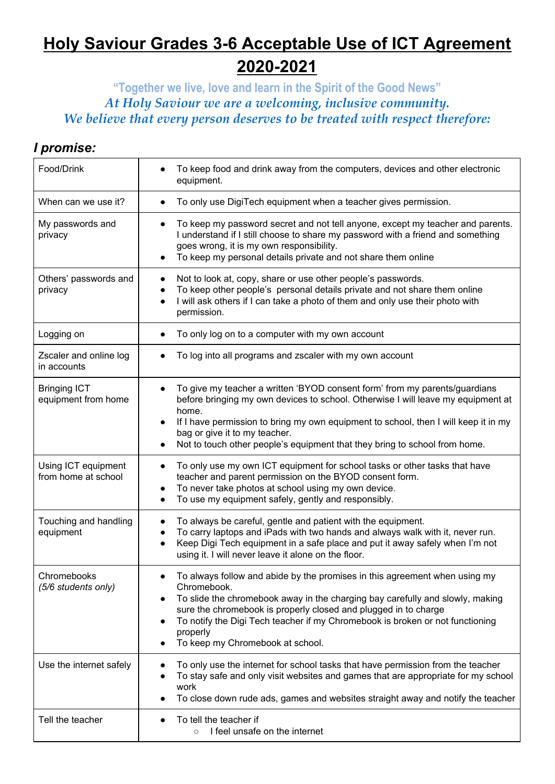## **Holy Saviour Grades 3-6 Acceptable Use of ICT Agreement 2020-2021**

**"Together we live, love and learn in the Spirit of the Good News"** *At Holy Saviour we are a welcoming, inclusive community. We believe that every person deserves to be treated with respect therefore:*

## *I promise:*

| Food/Drink                                 | To keep food and drink away from the computers, devices and other electronic<br>equipment.                                                                                                                                                                                                                                                                                     |
|--------------------------------------------|--------------------------------------------------------------------------------------------------------------------------------------------------------------------------------------------------------------------------------------------------------------------------------------------------------------------------------------------------------------------------------|
| When can we use it?                        | To only use DigiTech equipment when a teacher gives permission.                                                                                                                                                                                                                                                                                                                |
| My passwords and<br>privacy                | To keep my password secret and not tell anyone, except my teacher and parents.<br>I understand if I still choose to share my password with a friend and something<br>goes wrong, it is my own responsibility.<br>To keep my personal details private and not share them online                                                                                                 |
| Others' passwords and<br>privacy           | Not to look at, copy, share or use other people's passwords.<br>To keep other people's personal details private and not share them online<br>I will ask others if I can take a photo of them and only use their photo with<br>$\bullet$<br>permission.                                                                                                                         |
| Logging on                                 | To only log on to a computer with my own account                                                                                                                                                                                                                                                                                                                               |
| Zscaler and online log<br>in accounts      | To log into all programs and zscaler with my own account                                                                                                                                                                                                                                                                                                                       |
| <b>Bringing ICT</b><br>equipment from home | To give my teacher a written 'BYOD consent form' from my parents/guardians<br>before bringing my own devices to school. Otherwise I will leave my equipment at<br>home.<br>If I have permission to bring my own equipment to school, then I will keep it in my<br>bag or give it to my teacher.<br>Not to touch other people's equipment that they bring to school from home.  |
| Using ICT equipment<br>from home at school | To only use my own ICT equipment for school tasks or other tasks that have<br>teacher and parent permission on the BYOD consent form.<br>To never take photos at school using my own device.<br>To use my equipment safely, gently and responsibly.                                                                                                                            |
| Touching and handling<br>equipment         | To always be careful, gentle and patient with the equipment.<br>To carry laptops and iPads with two hands and always walk with it, never run.<br>Keep Digi Tech equipment in a safe place and put it away safely when I'm not<br>using it. I will never leave it alone on the floor.                                                                                           |
| Chromebooks<br>(5/6 students only)         | To always follow and abide by the promises in this agreement when using my<br>Chromebook.<br>To slide the chromebook away in the charging bay carefully and slowly, making<br>sure the chromebook is properly closed and plugged in to charge<br>To notify the Digi Tech teacher if my Chromebook is broken or not functioning<br>properly<br>To keep my Chromebook at school. |
| Use the internet safely                    | To only use the internet for school tasks that have permission from the teacher<br>To stay safe and only visit websites and games that are appropriate for my school<br>work<br>To close down rude ads, games and websites straight away and notify the teacher                                                                                                                |
| Tell the teacher                           | To tell the teacher if<br>I feel unsafe on the internet<br>$\circ$                                                                                                                                                                                                                                                                                                             |